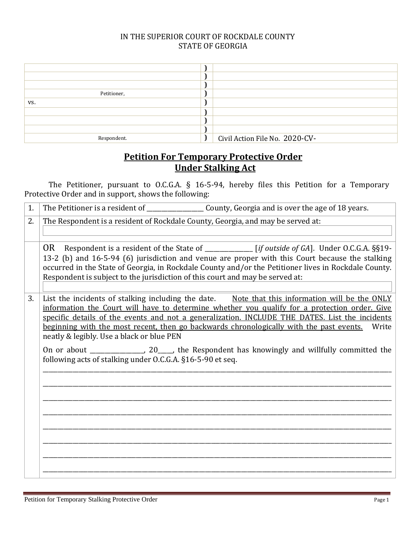## IN THE SUPERIOR COURT OF ROCKDALE COUNTY STATE OF GEORGIA

| Petitioner, |                                |
|-------------|--------------------------------|
| VS.         |                                |
|             |                                |
|             |                                |
|             |                                |
| Respondent. | Civil Action File No. 2020-CV- |

## **Petition For Temporary Protective Order Under Stalking Act**

The Petitioner, pursuant to O.C.G.A. § 16-5-94, hereby files this Petition for a Temporary Protective Order and in support, shows the following:

| 1. |                                                                                                                                                                                                                                                                                                                                                                                                                                                                                                                                                                                                                       |
|----|-----------------------------------------------------------------------------------------------------------------------------------------------------------------------------------------------------------------------------------------------------------------------------------------------------------------------------------------------------------------------------------------------------------------------------------------------------------------------------------------------------------------------------------------------------------------------------------------------------------------------|
| 2. | The Respondent is a resident of Rockdale County, Georgia, and may be served at:                                                                                                                                                                                                                                                                                                                                                                                                                                                                                                                                       |
|    | OR Respondent is a resident of the State of ___________ [if outside of GA]. Under O.C.G.A. §§19-<br>13-2 (b) and 16-5-94 (6) jurisdiction and venue are proper with this Court because the stalking<br>occurred in the State of Georgia, in Rockdale County and/or the Petitioner lives in Rockdale County.<br>Respondent is subject to the jurisdiction of this court and may be served at:                                                                                                                                                                                                                          |
| 3. | List the incidents of stalking including the date. Note that this information will be the ONLY<br>information the Court will have to determine whether you qualify for a protection order. Give<br>specific details of the events and not a generalization. INCLUDE THE DATES. List the incidents<br>beginning with the most recent, then go backwards chronologically with the past events.<br>Write<br>neatly & legibly. Use a black or blue PEN<br>On or about __________________, 20_____, the Respondent has knowingly and willfully committed the<br>following acts of stalking under O.C.G.A. §16-5-90 et seq. |
|    |                                                                                                                                                                                                                                                                                                                                                                                                                                                                                                                                                                                                                       |